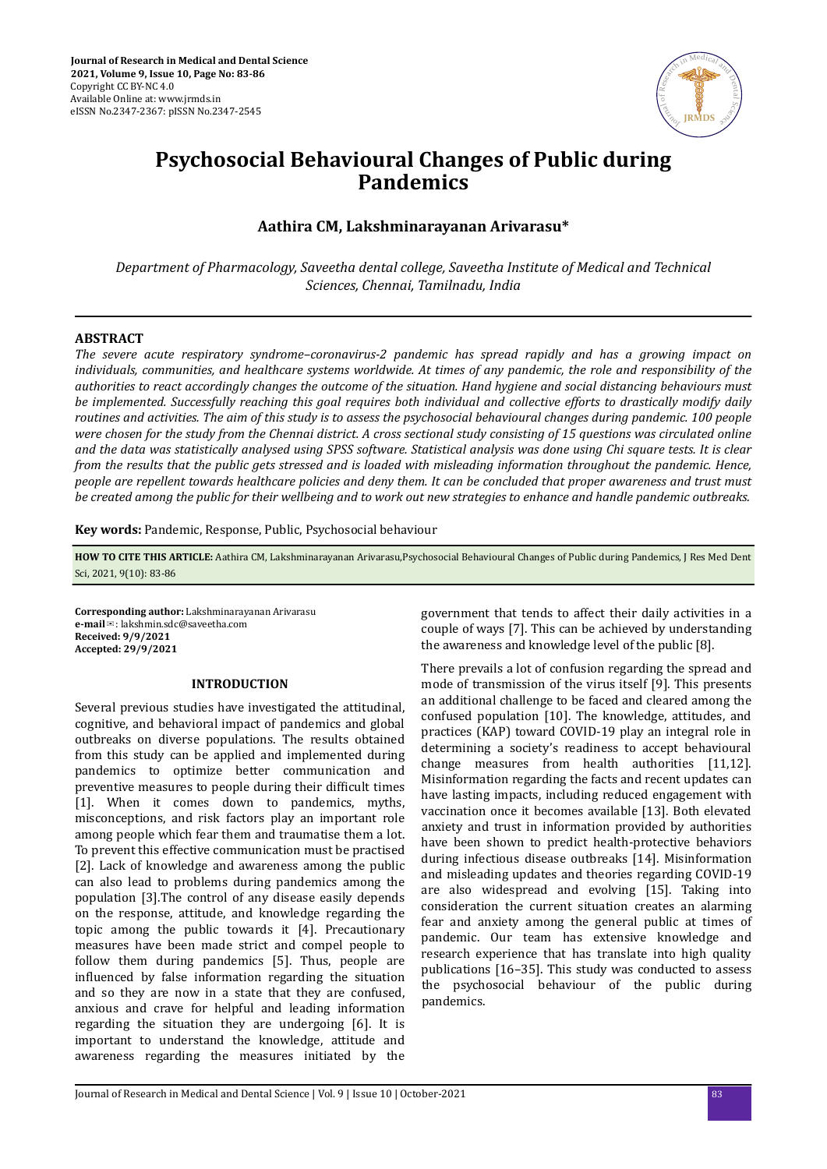

# **Psychosocial Behavioural Changes of Public during Pandemics**

## **Aathira CM, Lakshminarayanan Arivarasu\***

*Department of Pharmacology, Saveetha dental college, Saveetha Institute of Medical and Technical Sciences, Chennai, Tamilnadu, India*

#### **ABSTRACT**

*The severe acute respiratory syndrome–coronavirus-2 pandemic has spread rapidly and has a growing impact on individuals, communities, and healthcare systems worldwide. At times of any pandemic, the role and responsibility of the authorities to react accordingly changes the outcome of the situation. Hand hygiene and social distancing behaviours must be implemented. Successfully reaching this goal requires both individual and collective efforts to drastically modify daily routines and activities. The aim of this study is to assess the psychosocial behavioural changes during pandemic. 100 people were chosen for the study from the Chennai district. A cross sectional study consisting of 15 questions was circulated online and the data was statistically analysed using SPSS software. Statistical analysis was done using Chi square tests. It is clear from the results that the public gets stressed and is loaded with misleading information throughout the pandemic. Hence, people are repellent towards healthcare policies and deny them. It can be concluded that proper awareness and trust must be created among the public for their wellbeing and to work out new strategies to enhance and handle pandemic outbreaks.*

**Key words:** Pandemic, Response, Public, Psychosocial behaviour

**HOW TO CITE THIS ARTICLE:** Aathira CM, Lakshminarayanan Arivarasu,Psychosocial Behavioural Changes of Public during Pandemics, J Res Med Dent Sci, 2021, 9(10): 83-86

**Corresponding author:** Lakshminarayanan Arivarasu **e-mail**✉: lakshmin.sdc@saveetha.com **Received: 9/9/2021 Accepted: 29/9/2021** 

#### **INTRODUCTION**

Several previous studies have investigated the attitudinal, cognitive, and behavioral impact of pandemics and global outbreaks on diverse populations. The results obtained from this study can be applied and implemented during pandemics to optimize better communication and preventive measures to people during their difficult times [1]. When it comes down to pandemics, myths, misconceptions, and risk factors play an important role among people which fear them and traumatise them a lot. To prevent this effective communication must be practised [2]. Lack of knowledge and awareness among the public can also lead to problems during pandemics among the population [3].The control of any disease easily depends on the response, attitude, and knowledge regarding the topic among the public towards it [4]. Precautionary measures have been made strict and compel people to follow them during pandemics [5]. Thus, people are influenced by false information regarding the situation and so they are now in a state that they are confused, anxious and crave for helpful and leading information regarding the situation they are undergoing [6]. It is important to understand the knowledge, attitude and awareness regarding the measures initiated by the government that tends to affect their daily activities in a couple of ways [7]. This can be achieved by understanding the awareness and knowledge level of the public [8].

There prevails a lot of confusion regarding the spread and mode of transmission of the virus itself [9]. This presents an additional challenge to be faced and cleared among the confused population [10]. The knowledge, attitudes, and practices (KAP) toward COVID-19 play an integral role in determining a society's readiness to accept behavioural change measures from health authorities [11,12]. Misinformation regarding the facts and recent updates can have lasting impacts, including reduced engagement with vaccination once it becomes available [13]. Both elevated anxiety and trust in information provided by authorities have been shown to predict health-protective behaviors during infectious disease outbreaks [14]. Misinformation and misleading updates and theories regarding COVID-19 are also widespread and evolving [15]. Taking into consideration the current situation creates an alarming fear and anxiety among the general public at times of pandemic. Our team has extensive knowledge and research experience that has translate into high quality publications [16–35]. This study was conducted to assess the psychosocial behaviour of the public during pandemics.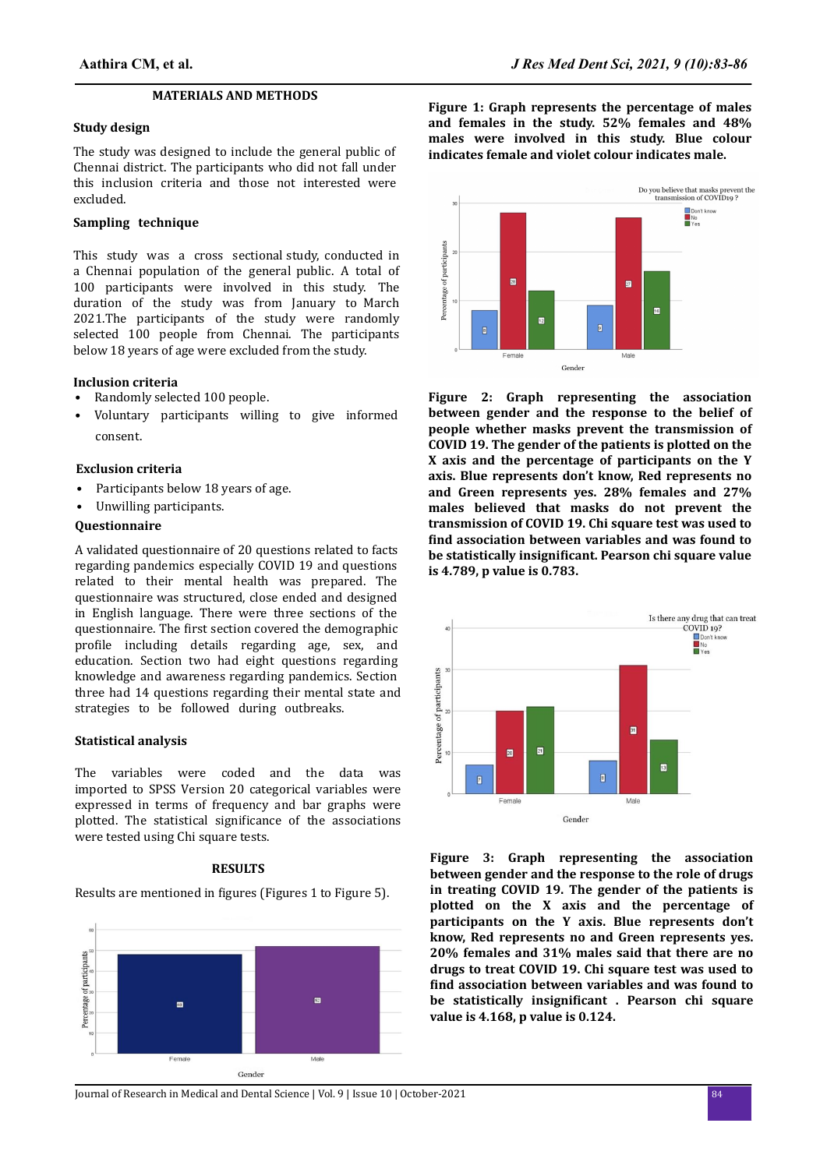## **MATERIALS AND METHODS**

#### **Study design**

The study was designed to include the general public of Chennai district. The participants who did not fall under this inclusion criteria and those not interested were excluded.

## **Sampling technique**

This study was a cross sectional study, conducted in a Chennai population of the general public. A total of 100 participants were involved in this study. The duration of the study was from January to March 2021.The participants of the study were randomly selected 100 people from Chennai. The participants below 18 years of age were excluded from the study.

#### **Inclusion criteria**

- Randomly selected 100 people.
- Voluntary participants willing to give informed consent.

### **Exclusion criteria**

- Participants below 18 years of age.
- Unwilling participants.

## **Questionnaire**

A validated questionnaire of 20 questions related to facts regarding pandemics especially COVID 19 and questions related to their mental health was prepared. The questionnaire was structured, close ended and designed in English language. There were three sections of the questionnaire. The first section covered the demographic profile including details regarding age, sex, and education. Section two had eight questions regarding knowledge and awareness regarding pandemics. Section three had 14 questions regarding their mental state and strategies to be followed during outbreaks.

### **Statistical analysis**

The variables were coded and the data was imported to SPSS Version 20 categorical variables were expressed in terms of frequency and bar graphs were plotted. The statistical significance of the associations were tested using Chi square tests.

#### **RESULTS**

Results are mentioned in figures (Figures 1 to Figure 5).



**Figure 1: Graph represents the percentage of males and females in the study. 52% females and 48% males were involved in this study. Blue colour indicates female and violet colour indicates male.**



**Figure 2: Graph representing the association between gender and the response to the belief of people whether masks prevent the transmission of COVID 19. The gender of the patients is plotted on the X axis and the percentage of participants on the Y axis. Blue represents don't know, Red represents no and Green represents yes. 28% females and 27% males believed that masks do not prevent the transmission of COVID 19. Chi square test was used to** find association between variables and was found to **be statistically insignificant. Pearson chi square value is 4.789, p value is 0.783.**



**Figure 3: Graph representing the association between gender and the response to the role of drugs in treating COVID 19. The gender of the patients is plotted on the X axis and the percentage of participants on the Y axis. Blue represents don't know, Red represents no and Green represents yes. 20% females and 31% males said that there are no drugs to treat COVID 19. Chi square test was used to** find association between variables and was found to **be statistically insignificant . Pearson chi square value is 4.168, p value is 0.124.**

Journal of Research in Medical and Dental Science | Vol. 9 | Issue 10 | October-2021 84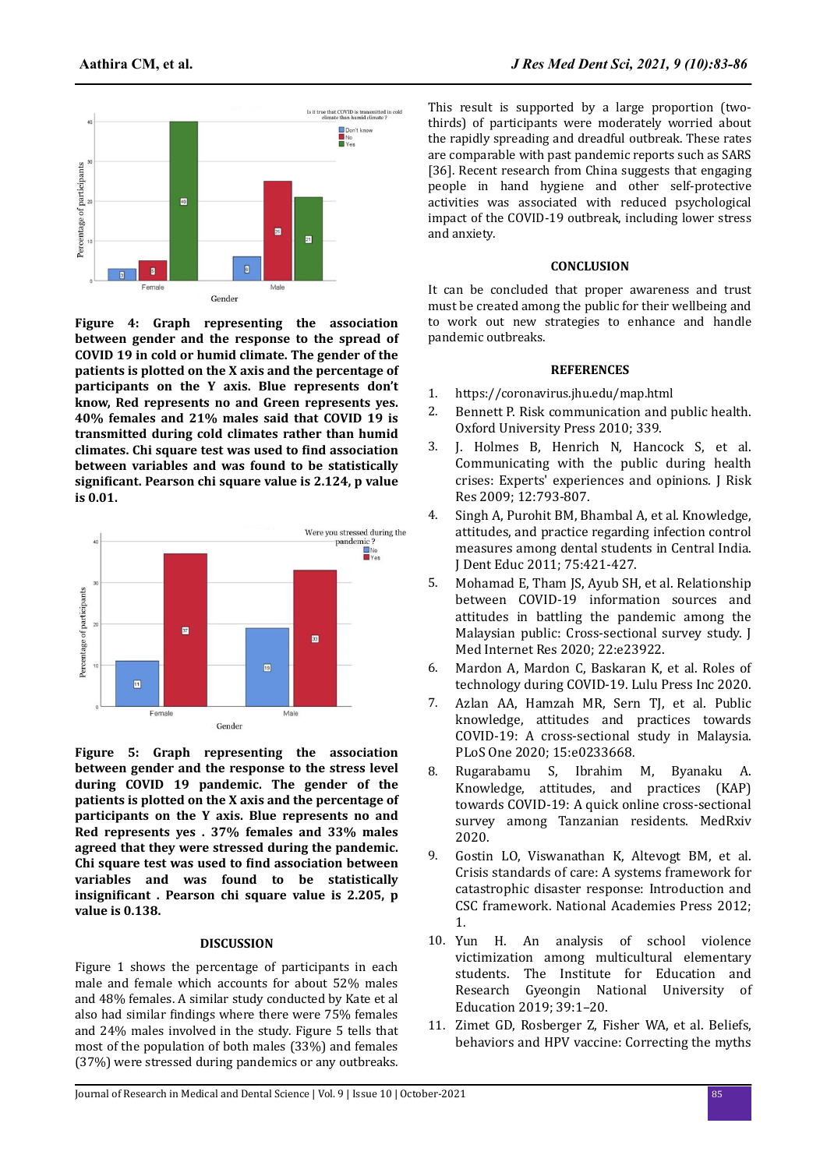

**Figure 4: Graph representing the association between gender and the response to the spread of COVID 19 in cold or humid climate. The gender of the patients is plotted on the X axis and the percentage of participants on the Y axis. Blue represents don't know, Red represents no and Green represents yes. 40% females and 21% males said that COVID 19 is transmitted during cold climates rather than humid climates. Chi square test was used to find association between variables and was found to be statistically** significant. Pearson chi square value is 2.124, p value **is 0.01.**



**Figure 5: Graph representing the association between gender and the response to the stress level during COVID 19 pandemic. The gender of the patients is plotted on the X axis and the percentage of participants on the Y axis. Blue represents no and Red represents yes . 37% females and 33% males agreed that they were stressed during the pandemic. Chi square test was used to find association between variables and was found to be statistically** insignificant . Pearson chi square value is 2.205, p **value is 0.138.**

#### **DISCUSSION**

Figure 1 shows the percentage of participants in each male and female which accounts for about 52% males and 48% females. A similar study conducted by Kate et al also had similar findings where there were 75% females and 24% males involved in the study. Figure 5 tells that most of the population of both males (33%) and females (37%) were stressed during pandemics or any outbreaks.

This result is supported by a large proportion (twothirds) of participants were moderately worried about the rapidly spreading and dreadful outbreak. These rates are comparable with past pandemic reports such as SARS [36]. Recent research from China suggests that engaging people in hand hygiene and other self-protective activities was associated with reduced psychological impact of the COVID-19 outbreak, including lower stress and anxiety.

## **CONCLUSION**

It can be concluded that proper awareness and trust must be created among the public for their wellbeing and to work out new strategies to enhance and handle pandemic outbreaks.

#### **REFERENCES**

- 1. https://coronavirus.jhu.edu/map.html
- 2. [Bennett P. Risk communication and public health.](https://dx.doi.org/10.2105%2Fajph.94.12.2051) [Oxford University Press 2010; 339.](https://dx.doi.org/10.2105%2Fajph.94.12.2051)
- 3. [J. Holmes B, Henrich N, Hancock S, et al.](https://doi.org/10.1080/13669870802648486) [Communicating with the public during health](https://doi.org/10.1080/13669870802648486) [crises: Experts' experiences and opinions. J Risk](https://doi.org/10.1080/13669870802648486) [Res 2009; 12:793-807.](https://doi.org/10.1080/13669870802648486)
- 4. [Singh A, Purohit BM, Bhambal A, et al. Knowledge,](https://doi.org/10.1002/j.0022-0337.2011.75.3.tb05055.x) [attitudes, and practice regarding infection control](https://doi.org/10.1002/j.0022-0337.2011.75.3.tb05055.x) [measures among dental students in Central India.](https://doi.org/10.1002/j.0022-0337.2011.75.3.tb05055.x) [J Dent Educ 2011; 75:421-427.](https://doi.org/10.1002/j.0022-0337.2011.75.3.tb05055.x)
- 5. [Mohamad E, Tham JS, Ayub SH, et al. Relationship](https://doi.org/10.2196/23922) [between COVID-19 information sources and](https://doi.org/10.2196/23922) [attitudes in battling the pandemic among the](https://doi.org/10.2196/23922) [Malaysian public: Cross-sectional survey study. J](https://doi.org/10.2196/23922) [Med Internet Res 2020; 22:e23922.](https://doi.org/10.2196/23922)
- 6. [Mardon A, Mardon C, Baskaran K, et al. Roles of](https://dx.doi.org/10.1016%2FB978-0-323-90959-4.00005-5) [technology during COVID-19. Lulu Press Inc 2020.](https://dx.doi.org/10.1016%2FB978-0-323-90959-4.00005-5)
- 7. [Azlan AA, Hamzah MR, Sern TJ, et al. Public](https://doi.org/10.1371/journal.pone.0233668) [knowledge, attitudes and practices towards](https://doi.org/10.1371/journal.pone.0233668) [COVID-19: A cross-sectional study in Malaysia.](https://doi.org/10.1371/journal.pone.0233668) [PLoS One 2020; 15:e0233668](https://doi.org/10.1371/journal.pone.0233668).
- 8. [Rugarabamu S, Ibrahim M, Byanaku A.](https://dx.doi.org/10.1371%2Fjournal.pone.0244925) [Knowledge, attitudes, and practices \(KAP\)](https://dx.doi.org/10.1371%2Fjournal.pone.0244925) [towards COVID-19: A quick online cross-sectional](https://dx.doi.org/10.1371%2Fjournal.pone.0244925) [survey among Tanzanian residents. MedRxiv](https://dx.doi.org/10.1371%2Fjournal.pone.0244925) [2020.](https://dx.doi.org/10.1371%2Fjournal.pone.0244925)
- 9. [Gostin LO, Viswanathan K, Altevogt BM, et al.](https://doi.org/10.17226/13351) [Crisis standards of care: A systems framework for](https://doi.org/10.17226/13351) [catastrophic disaster response: Introduction and](https://doi.org/10.17226/13351) [CSC framework. National Academies Press 2012;](https://doi.org/10.17226/13351) [1](https://doi.org/10.17226/13351).
- 10. [Yun H. An analysis of school violence](http://dx.doi.org/10.1080/15388220.2015.1056879) [victimization among multicultural elementary](http://dx.doi.org/10.1080/15388220.2015.1056879) [students. The Institute for Education and](http://dx.doi.org/10.1080/15388220.2015.1056879) [Research Gyeongin National University of](http://dx.doi.org/10.1080/15388220.2015.1056879) [Education 2019; 39:1–20.](http://dx.doi.org/10.1080/15388220.2015.1056879)
- 11. [Zimet GD, Rosberger Z, Fisher WA, et al. Beliefs,](https://doi.org/10.1016/j.ypmed.2013.05.013) [behaviors and HPV vaccine: Correcting the myths](https://doi.org/10.1016/j.ypmed.2013.05.013)